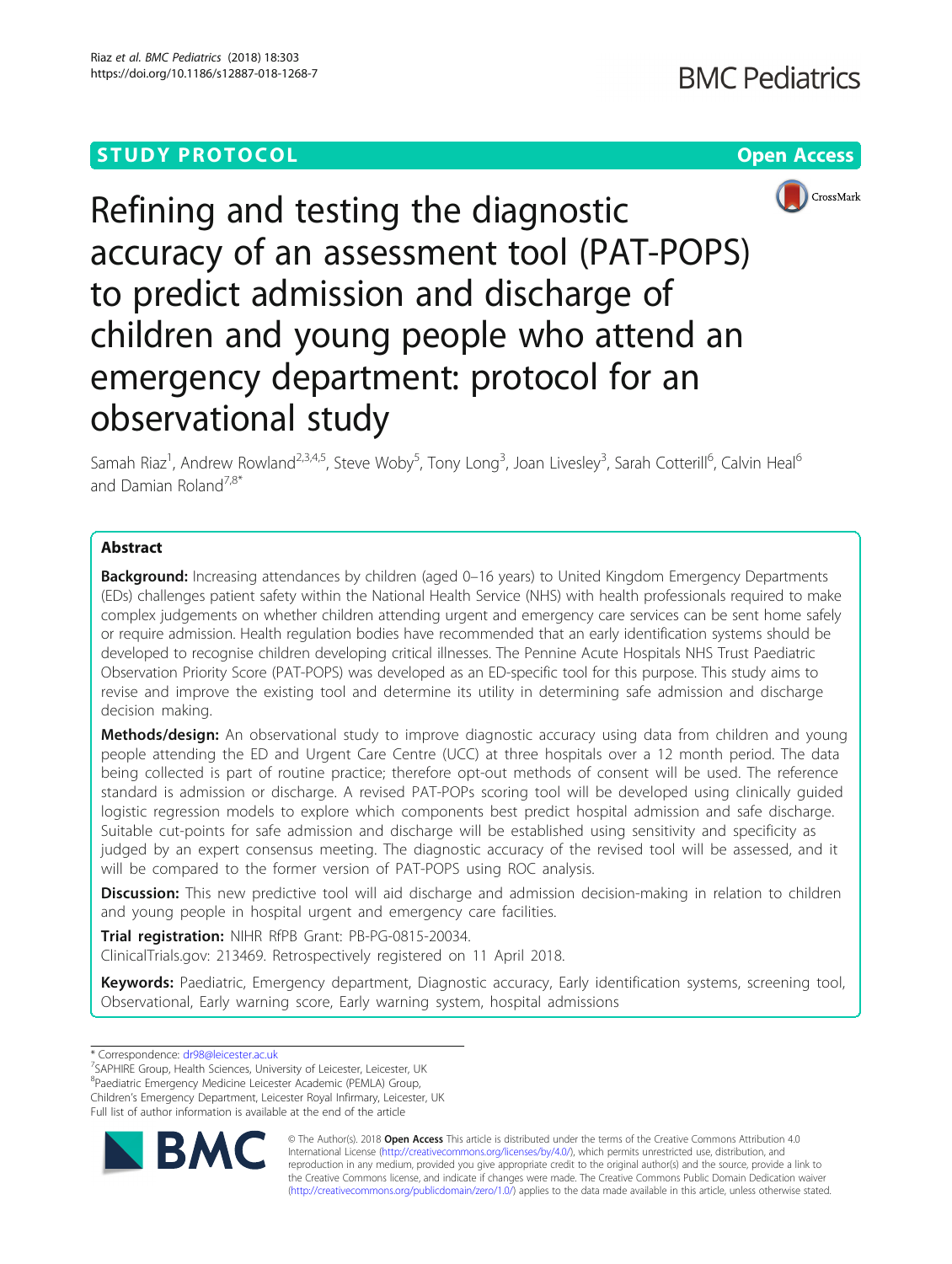



Refining and testing the diagnostic accuracy of an assessment tool (PAT-POPS) to predict admission and discharge of children and young people who attend an emergency department: protocol for an observational study

Samah Riaz<sup>1</sup>, Andrew Rowland<sup>2,3,4,5</sup>, Steve Woby<sup>5</sup>, Tony Long<sup>3</sup>, Joan Livesley<sup>3</sup>, Sarah Cotterill<sup>6</sup>, Calvin Heal<sup>6</sup> and Damian Roland<sup>7,8\*</sup>

# Abstract

**Background:** Increasing attendances by children (aged 0-16 years) to United Kingdom Emergency Departments (EDs) challenges patient safety within the National Health Service (NHS) with health professionals required to make complex judgements on whether children attending urgent and emergency care services can be sent home safely or require admission. Health regulation bodies have recommended that an early identification systems should be developed to recognise children developing critical illnesses. The Pennine Acute Hospitals NHS Trust Paediatric Observation Priority Score (PAT-POPS) was developed as an ED-specific tool for this purpose. This study aims to revise and improve the existing tool and determine its utility in determining safe admission and discharge decision making.

**Methods/design:** An observational study to improve diagnostic accuracy using data from children and young people attending the ED and Urgent Care Centre (UCC) at three hospitals over a 12 month period. The data being collected is part of routine practice; therefore opt-out methods of consent will be used. The reference standard is admission or discharge. A revised PAT-POPs scoring tool will be developed using clinically guided logistic regression models to explore which components best predict hospital admission and safe discharge. Suitable cut-points for safe admission and discharge will be established using sensitivity and specificity as judged by an expert consensus meeting. The diagnostic accuracy of the revised tool will be assessed, and it will be compared to the former version of PAT-POPS using ROC analysis.

**Discussion:** This new predictive tool will aid discharge and admission decision-making in relation to children and young people in hospital urgent and emergency care facilities.

Trial registration: NIHR RfPB Grant: PB-PG-0815-20034.

ClinicalTrials.gov: 213469. Retrospectively registered on 11 April 2018.

Keywords: Paediatric, Emergency department, Diagnostic accuracy, Early identification systems, screening tool, Observational, Early warning score, Early warning system, hospital admissions

 $^7$ SAPHIRE Group, Health Sciences, University of Leicester, Leicester, UK 8 Paediatric Emergency Medicine Leicester Academic (PEMLA) Group, Children's Emergency Department, Leicester Royal Infirmary, Leicester, UK Full list of author information is available at the end of the article



© The Author(s). 2018 Open Access This article is distributed under the terms of the Creative Commons Attribution 4.0 International License [\(http://creativecommons.org/licenses/by/4.0/](http://creativecommons.org/licenses/by/4.0/)), which permits unrestricted use, distribution, and reproduction in any medium, provided you give appropriate credit to the original author(s) and the source, provide a link to the Creative Commons license, and indicate if changes were made. The Creative Commons Public Domain Dedication waiver [\(http://creativecommons.org/publicdomain/zero/1.0/](http://creativecommons.org/publicdomain/zero/1.0/)) applies to the data made available in this article, unless otherwise stated.

<sup>\*</sup> Correspondence: [dr98@leicester.ac.uk](mailto:dr98@leicester.ac.uk) <sup>7</sup>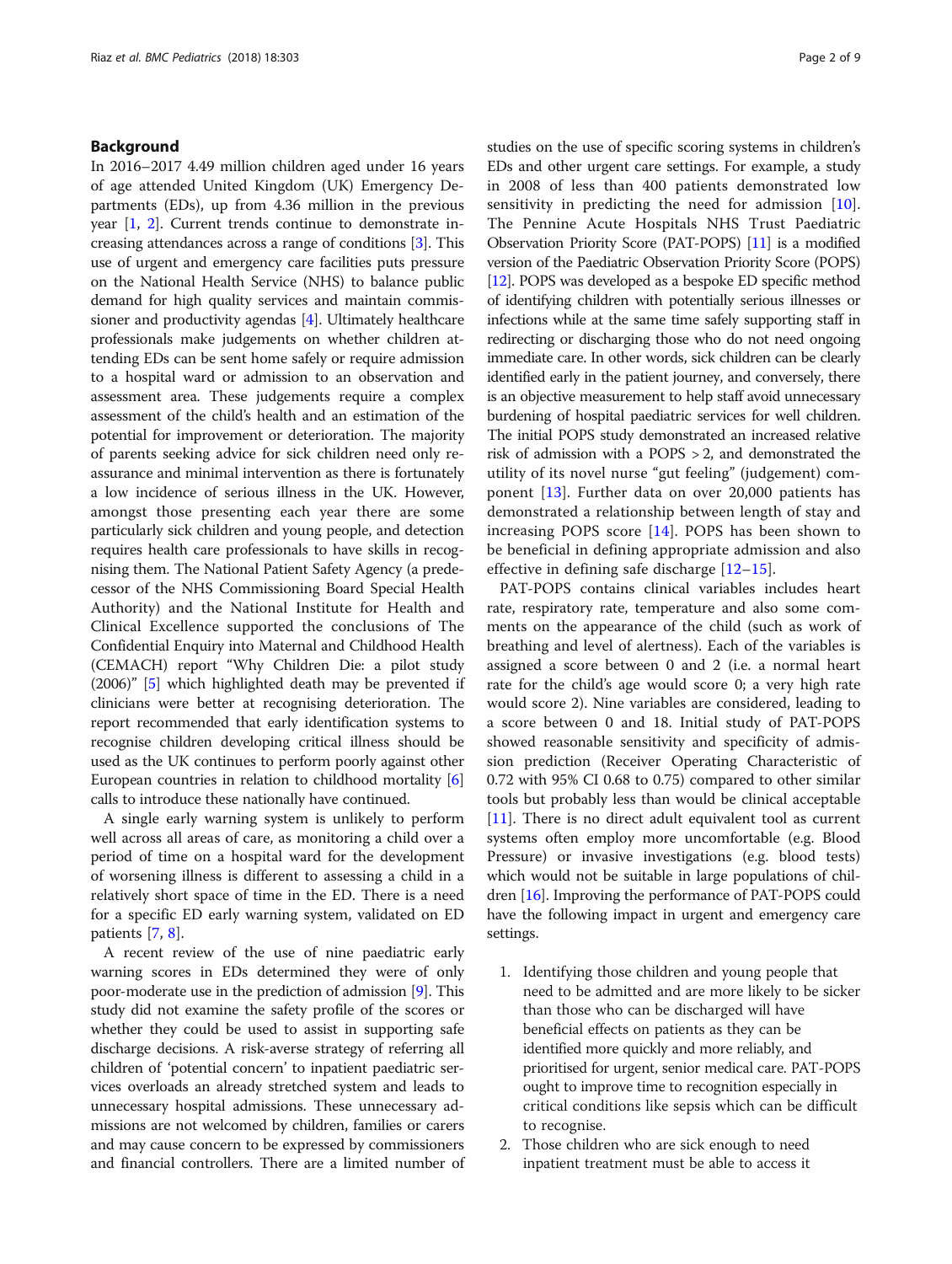## Background

In 2016–2017 4.49 million children aged under 16 years of age attended United Kingdom (UK) Emergency Departments (EDs), up from 4.36 million in the previous year [[1,](#page-8-0) [2](#page-8-0)]. Current trends continue to demonstrate increasing attendances across a range of conditions [\[3\]](#page-8-0). This use of urgent and emergency care facilities puts pressure on the National Health Service (NHS) to balance public demand for high quality services and maintain commissioner and productivity agendas [\[4](#page-8-0)]. Ultimately healthcare professionals make judgements on whether children attending EDs can be sent home safely or require admission to a hospital ward or admission to an observation and assessment area. These judgements require a complex assessment of the child's health and an estimation of the potential for improvement or deterioration. The majority of parents seeking advice for sick children need only reassurance and minimal intervention as there is fortunately a low incidence of serious illness in the UK. However, amongst those presenting each year there are some particularly sick children and young people, and detection requires health care professionals to have skills in recognising them. The National Patient Safety Agency (a predecessor of the NHS Commissioning Board Special Health Authority) and the National Institute for Health and Clinical Excellence supported the conclusions of The Confidential Enquiry into Maternal and Childhood Health (CEMACH) report "Why Children Die: a pilot study (2006)" [[5\]](#page-8-0) which highlighted death may be prevented if clinicians were better at recognising deterioration. The report recommended that early identification systems to recognise children developing critical illness should be used as the UK continues to perform poorly against other European countries in relation to childhood mortality [[6](#page-8-0)] calls to introduce these nationally have continued.

A single early warning system is unlikely to perform well across all areas of care, as monitoring a child over a period of time on a hospital ward for the development of worsening illness is different to assessing a child in a relatively short space of time in the ED. There is a need for a specific ED early warning system, validated on ED patients [\[7,](#page-8-0) [8\]](#page-8-0).

A recent review of the use of nine paediatric early warning scores in EDs determined they were of only poor-moderate use in the prediction of admission [\[9](#page-8-0)]. This study did not examine the safety profile of the scores or whether they could be used to assist in supporting safe discharge decisions. A risk-averse strategy of referring all children of 'potential concern' to inpatient paediatric services overloads an already stretched system and leads to unnecessary hospital admissions. These unnecessary admissions are not welcomed by children, families or carers and may cause concern to be expressed by commissioners and financial controllers. There are a limited number of studies on the use of specific scoring systems in children's EDs and other urgent care settings. For example, a study in 2008 of less than 400 patients demonstrated low sensitivity in predicting the need for admission  $[10]$  $[10]$ . The Pennine Acute Hospitals NHS Trust Paediatric Observation Priority Score (PAT-POPS) [\[11\]](#page-8-0) is a modified version of the Paediatric Observation Priority Score (POPS) [[12](#page-8-0)]. POPS was developed as a bespoke ED specific method of identifying children with potentially serious illnesses or infections while at the same time safely supporting staff in redirecting or discharging those who do not need ongoing immediate care. In other words, sick children can be clearly identified early in the patient journey, and conversely, there is an objective measurement to help staff avoid unnecessary burdening of hospital paediatric services for well children. The initial POPS study demonstrated an increased relative risk of admission with a POPS > 2, and demonstrated the utility of its novel nurse "gut feeling" (judgement) component [[13\]](#page-8-0). Further data on over 20,000 patients has demonstrated a relationship between length of stay and increasing POPS score [[14\]](#page-8-0). POPS has been shown to be beneficial in defining appropriate admission and also effective in defining safe discharge  $[12-15]$  $[12-15]$  $[12-15]$  $[12-15]$ .

PAT-POPS contains clinical variables includes heart rate, respiratory rate, temperature and also some comments on the appearance of the child (such as work of breathing and level of alertness). Each of the variables is assigned a score between 0 and 2 (i.e. a normal heart rate for the child's age would score 0; a very high rate would score 2). Nine variables are considered, leading to a score between 0 and 18. Initial study of PAT-POPS showed reasonable sensitivity and specificity of admission prediction (Receiver Operating Characteristic of 0.72 with 95% CI 0.68 to 0.75) compared to other similar tools but probably less than would be clinical acceptable [[11\]](#page-8-0). There is no direct adult equivalent tool as current systems often employ more uncomfortable (e.g. Blood Pressure) or invasive investigations (e.g. blood tests) which would not be suitable in large populations of children [[16](#page-8-0)]. Improving the performance of PAT-POPS could have the following impact in urgent and emergency care settings.

- 1. Identifying those children and young people that need to be admitted and are more likely to be sicker than those who can be discharged will have beneficial effects on patients as they can be identified more quickly and more reliably, and prioritised for urgent, senior medical care. PAT-POPS ought to improve time to recognition especially in critical conditions like sepsis which can be difficult to recognise.
- 2. Those children who are sick enough to need inpatient treatment must be able to access it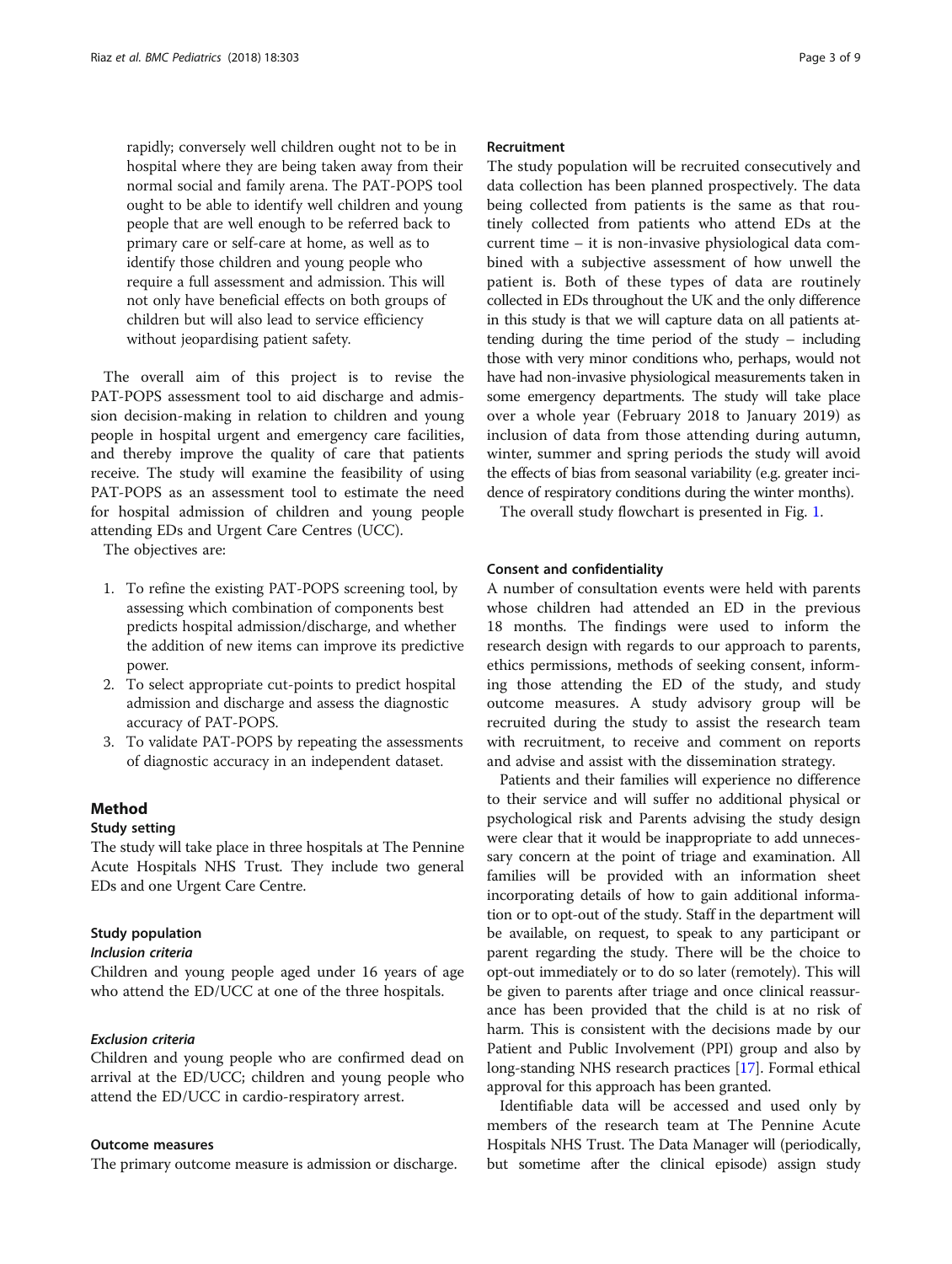rapidly; conversely well children ought not to be in hospital where they are being taken away from their normal social and family arena. The PAT-POPS tool ought to be able to identify well children and young people that are well enough to be referred back to primary care or self-care at home, as well as to identify those children and young people who require a full assessment and admission. This will not only have beneficial effects on both groups of children but will also lead to service efficiency without jeopardising patient safety.

The overall aim of this project is to revise the PAT-POPS assessment tool to aid discharge and admission decision-making in relation to children and young people in hospital urgent and emergency care facilities, and thereby improve the quality of care that patients receive. The study will examine the feasibility of using PAT-POPS as an assessment tool to estimate the need for hospital admission of children and young people attending EDs and Urgent Care Centres (UCC).

The objectives are:

- 1. To refine the existing PAT-POPS screening tool, by assessing which combination of components best predicts hospital admission/discharge, and whether the addition of new items can improve its predictive power.
- 2. To select appropriate cut-points to predict hospital admission and discharge and assess the diagnostic accuracy of PAT-POPS.
- 3. To validate PAT-POPS by repeating the assessments of diagnostic accuracy in an independent dataset.

## Method

# Study setting

The study will take place in three hospitals at The Pennine Acute Hospitals NHS Trust. They include two general EDs and one Urgent Care Centre.

#### Study population

## Inclusion criteria

Children and young people aged under 16 years of age who attend the ED/UCC at one of the three hospitals.

## Exclusion criteria

Children and young people who are confirmed dead on arrival at the ED/UCC; children and young people who attend the ED/UCC in cardio-respiratory arrest.

## Outcome measures

The primary outcome measure is admission or discharge.

## Recruitment

The study population will be recruited consecutively and data collection has been planned prospectively. The data being collected from patients is the same as that routinely collected from patients who attend EDs at the current time – it is non-invasive physiological data combined with a subjective assessment of how unwell the patient is. Both of these types of data are routinely collected in EDs throughout the UK and the only difference in this study is that we will capture data on all patients attending during the time period of the study – including those with very minor conditions who, perhaps, would not have had non-invasive physiological measurements taken in some emergency departments. The study will take place over a whole year (February 2018 to January 2019) as inclusion of data from those attending during autumn, winter, summer and spring periods the study will avoid the effects of bias from seasonal variability (e.g. greater incidence of respiratory conditions during the winter months).

The overall study flowchart is presented in Fig. [1](#page-3-0).

#### Consent and confidentiality

A number of consultation events were held with parents whose children had attended an ED in the previous 18 months. The findings were used to inform the research design with regards to our approach to parents, ethics permissions, methods of seeking consent, informing those attending the ED of the study, and study outcome measures. A study advisory group will be recruited during the study to assist the research team with recruitment, to receive and comment on reports and advise and assist with the dissemination strategy.

Patients and their families will experience no difference to their service and will suffer no additional physical or psychological risk and Parents advising the study design were clear that it would be inappropriate to add unnecessary concern at the point of triage and examination. All families will be provided with an information sheet incorporating details of how to gain additional information or to opt-out of the study. Staff in the department will be available, on request, to speak to any participant or parent regarding the study. There will be the choice to opt-out immediately or to do so later (remotely). This will be given to parents after triage and once clinical reassurance has been provided that the child is at no risk of harm. This is consistent with the decisions made by our Patient and Public Involvement (PPI) group and also by long-standing NHS research practices [\[17\]](#page-8-0). Formal ethical approval for this approach has been granted.

Identifiable data will be accessed and used only by members of the research team at The Pennine Acute Hospitals NHS Trust. The Data Manager will (periodically, but sometime after the clinical episode) assign study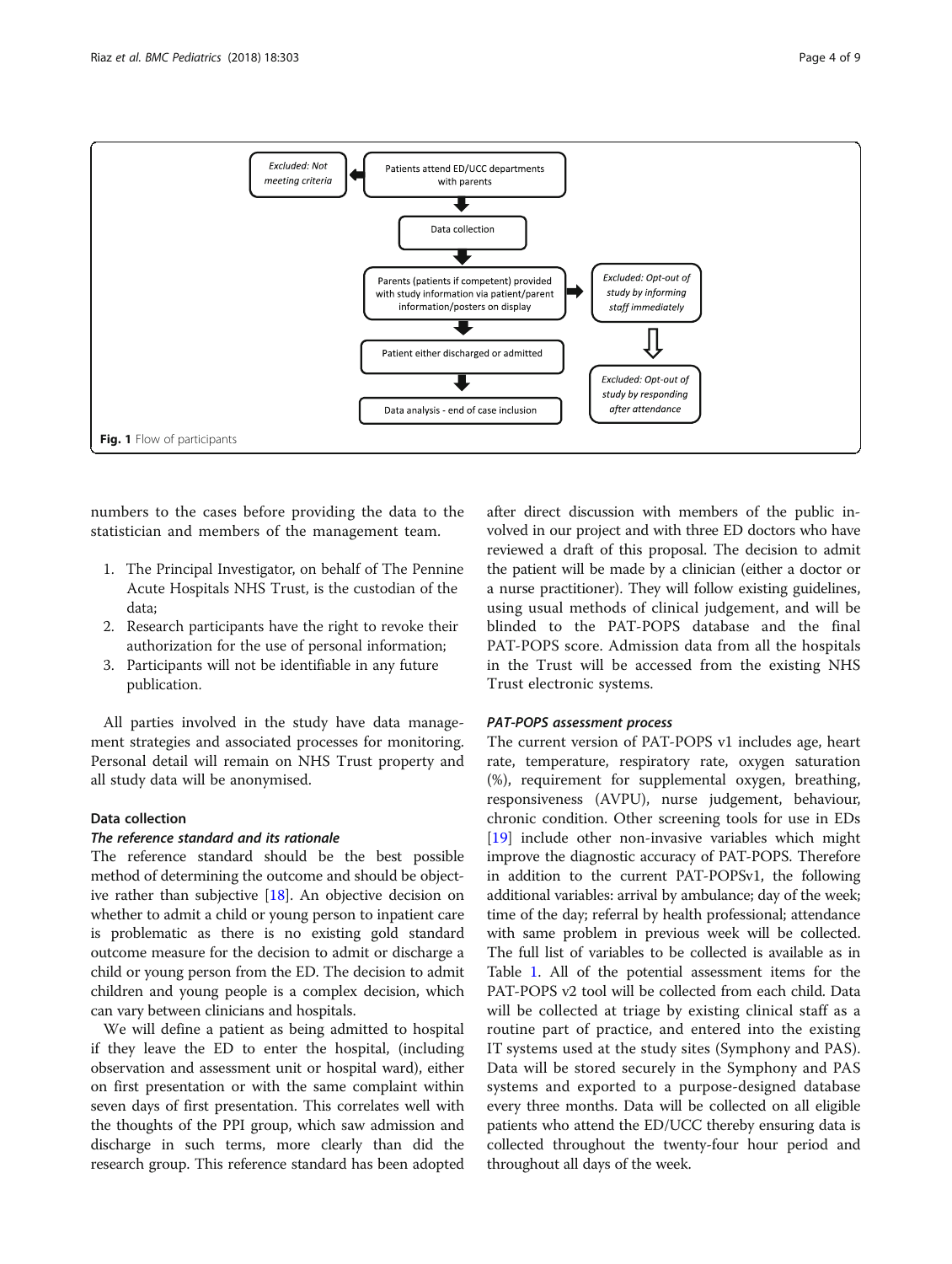<span id="page-3-0"></span>

numbers to the cases before providing the data to the statistician and members of the management team.

- 1. The Principal Investigator, on behalf of The Pennine Acute Hospitals NHS Trust, is the custodian of the data;
- 2. Research participants have the right to revoke their authorization for the use of personal information;
- 3. Participants will not be identifiable in any future publication.

All parties involved in the study have data management strategies and associated processes for monitoring. Personal detail will remain on NHS Trust property and all study data will be anonymised.

# Data collection

## The reference standard and its rationale

The reference standard should be the best possible method of determining the outcome and should be objective rather than subjective  $[18]$  $[18]$  $[18]$ . An objective decision on whether to admit a child or young person to inpatient care is problematic as there is no existing gold standard outcome measure for the decision to admit or discharge a child or young person from the ED. The decision to admit children and young people is a complex decision, which can vary between clinicians and hospitals.

We will define a patient as being admitted to hospital if they leave the ED to enter the hospital, (including observation and assessment unit or hospital ward), either on first presentation or with the same complaint within seven days of first presentation. This correlates well with the thoughts of the PPI group, which saw admission and discharge in such terms, more clearly than did the research group. This reference standard has been adopted

after direct discussion with members of the public involved in our project and with three ED doctors who have reviewed a draft of this proposal. The decision to admit the patient will be made by a clinician (either a doctor or a nurse practitioner). They will follow existing guidelines, using usual methods of clinical judgement, and will be blinded to the PAT-POPS database and the final PAT-POPS score. Admission data from all the hospitals in the Trust will be accessed from the existing NHS Trust electronic systems.

## PAT-POPS assessment process

The current version of PAT-POPS v1 includes age, heart rate, temperature, respiratory rate, oxygen saturation (%), requirement for supplemental oxygen, breathing, responsiveness (AVPU), nurse judgement, behaviour, chronic condition. Other screening tools for use in EDs [[19\]](#page-8-0) include other non-invasive variables which might improve the diagnostic accuracy of PAT-POPS. Therefore in addition to the current PAT-POPSv1, the following additional variables: arrival by ambulance; day of the week; time of the day; referral by health professional; attendance with same problem in previous week will be collected. The full list of variables to be collected is available as in Table [1.](#page-4-0) All of the potential assessment items for the PAT-POPS v2 tool will be collected from each child. Data will be collected at triage by existing clinical staff as a routine part of practice, and entered into the existing IT systems used at the study sites (Symphony and PAS). Data will be stored securely in the Symphony and PAS systems and exported to a purpose-designed database every three months. Data will be collected on all eligible patients who attend the ED/UCC thereby ensuring data is collected throughout the twenty-four hour period and throughout all days of the week.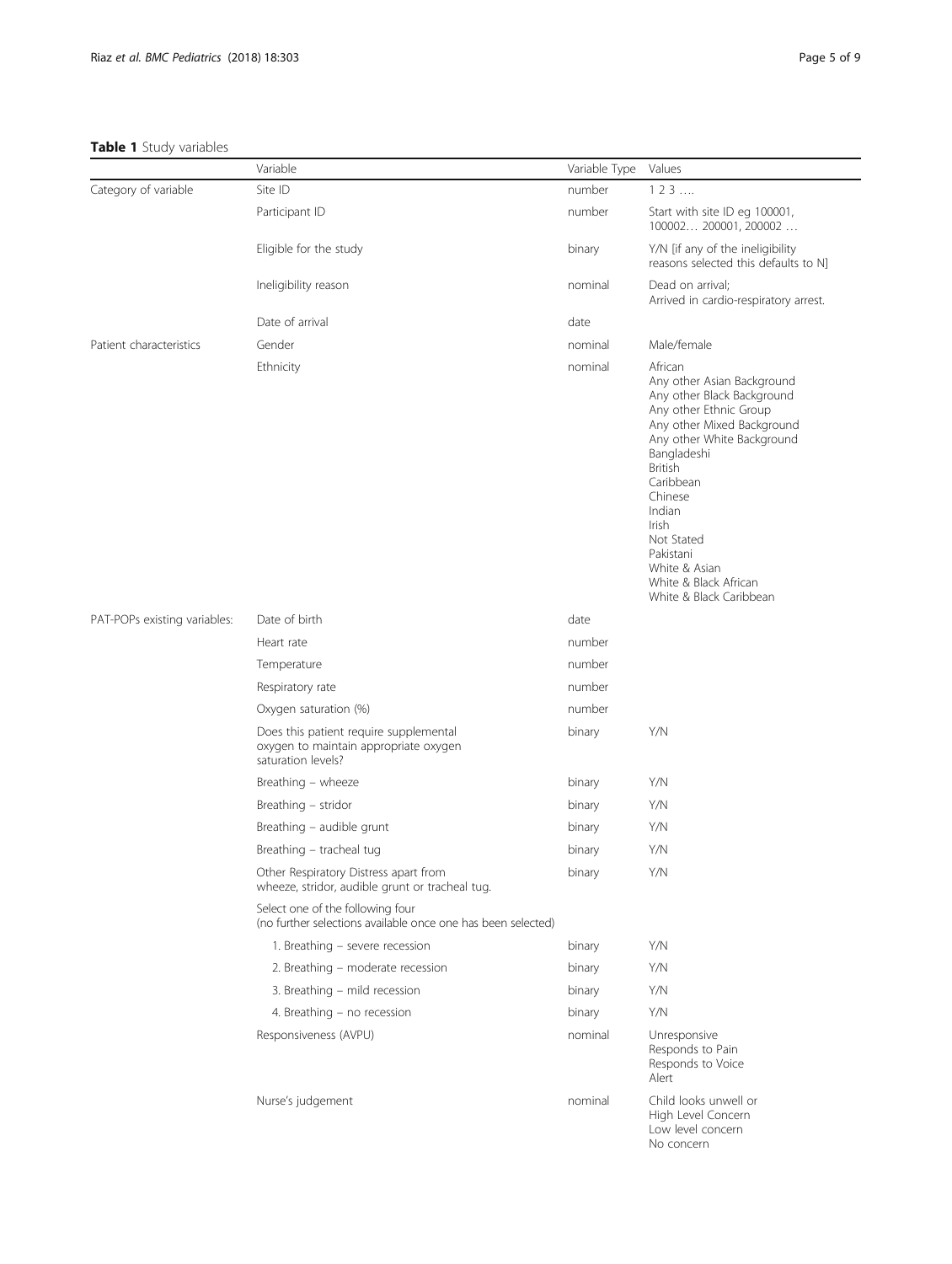# <span id="page-4-0"></span>Table 1 Study variables

|                              | Variable                                                                                              | Variable Type | Values                                                                                                                                                                                                                                                                                                                         |
|------------------------------|-------------------------------------------------------------------------------------------------------|---------------|--------------------------------------------------------------------------------------------------------------------------------------------------------------------------------------------------------------------------------------------------------------------------------------------------------------------------------|
| Category of variable         | Site ID                                                                                               | number        | 123                                                                                                                                                                                                                                                                                                                            |
|                              | Participant ID                                                                                        | number        | Start with site ID eg 100001,<br>100002 200001, 200002                                                                                                                                                                                                                                                                         |
|                              | Eligible for the study                                                                                | binary        | Y/N [if any of the ineligibility<br>reasons selected this defaults to N1                                                                                                                                                                                                                                                       |
|                              | Ineligibility reason                                                                                  | nominal       | Dead on arrival;<br>Arrived in cardio-respiratory arrest.                                                                                                                                                                                                                                                                      |
|                              | Date of arrival                                                                                       | date          |                                                                                                                                                                                                                                                                                                                                |
| Patient characteristics      | Gender                                                                                                | nominal       | Male/female                                                                                                                                                                                                                                                                                                                    |
|                              | Ethnicity                                                                                             | nominal       | African<br>Any other Asian Background<br>Any other Black Background<br>Any other Ethnic Group<br>Any other Mixed Background<br>Any other White Background<br>Bangladeshi<br>British<br>Caribbean<br>Chinese<br>Indian<br>Irish<br>Not Stated<br>Pakistani<br>White & Asian<br>White & Black African<br>White & Black Caribbean |
| PAT-POPs existing variables: | Date of birth                                                                                         | date          |                                                                                                                                                                                                                                                                                                                                |
|                              | Heart rate                                                                                            | number        |                                                                                                                                                                                                                                                                                                                                |
|                              | Temperature                                                                                           | number        |                                                                                                                                                                                                                                                                                                                                |
|                              | Respiratory rate                                                                                      | number        |                                                                                                                                                                                                                                                                                                                                |
|                              | Oxygen saturation (%)                                                                                 | number        |                                                                                                                                                                                                                                                                                                                                |
|                              | Does this patient require supplemental<br>oxygen to maintain appropriate oxygen<br>saturation levels? | binary        | Y/N                                                                                                                                                                                                                                                                                                                            |
|                              | Breathing - wheeze                                                                                    | binary        | Y/N                                                                                                                                                                                                                                                                                                                            |
|                              | Breathing - stridor                                                                                   | binary        | Y/N                                                                                                                                                                                                                                                                                                                            |
|                              | Breathing - audible grunt                                                                             | binary        | Y/N                                                                                                                                                                                                                                                                                                                            |
|                              | Breathing - tracheal tug                                                                              | binary        | Y/N                                                                                                                                                                                                                                                                                                                            |
|                              | Other Respiratory Distress apart from<br>wheeze, stridor, audible grunt or tracheal tug.              | binary        | Y/N                                                                                                                                                                                                                                                                                                                            |
|                              | Select one of the following four<br>(no further selections available once one has been selected)      |               |                                                                                                                                                                                                                                                                                                                                |
|                              | 1. Breathing - severe recession                                                                       | binary        | Y/N                                                                                                                                                                                                                                                                                                                            |
|                              | 2. Breathing - moderate recession                                                                     | binary        | Y/N                                                                                                                                                                                                                                                                                                                            |
|                              | 3. Breathing - mild recession                                                                         | binary        | Y/N                                                                                                                                                                                                                                                                                                                            |
|                              | 4. Breathing - no recession                                                                           | binary        | Y/N                                                                                                                                                                                                                                                                                                                            |
|                              | Responsiveness (AVPU)                                                                                 | nominal       | Unresponsive<br>Responds to Pain<br>Responds to Voice<br>Alert                                                                                                                                                                                                                                                                 |
|                              | Nurse's judgement                                                                                     | nominal       | Child looks unwell or<br>High Level Concern<br>Low level concern<br>No concern                                                                                                                                                                                                                                                 |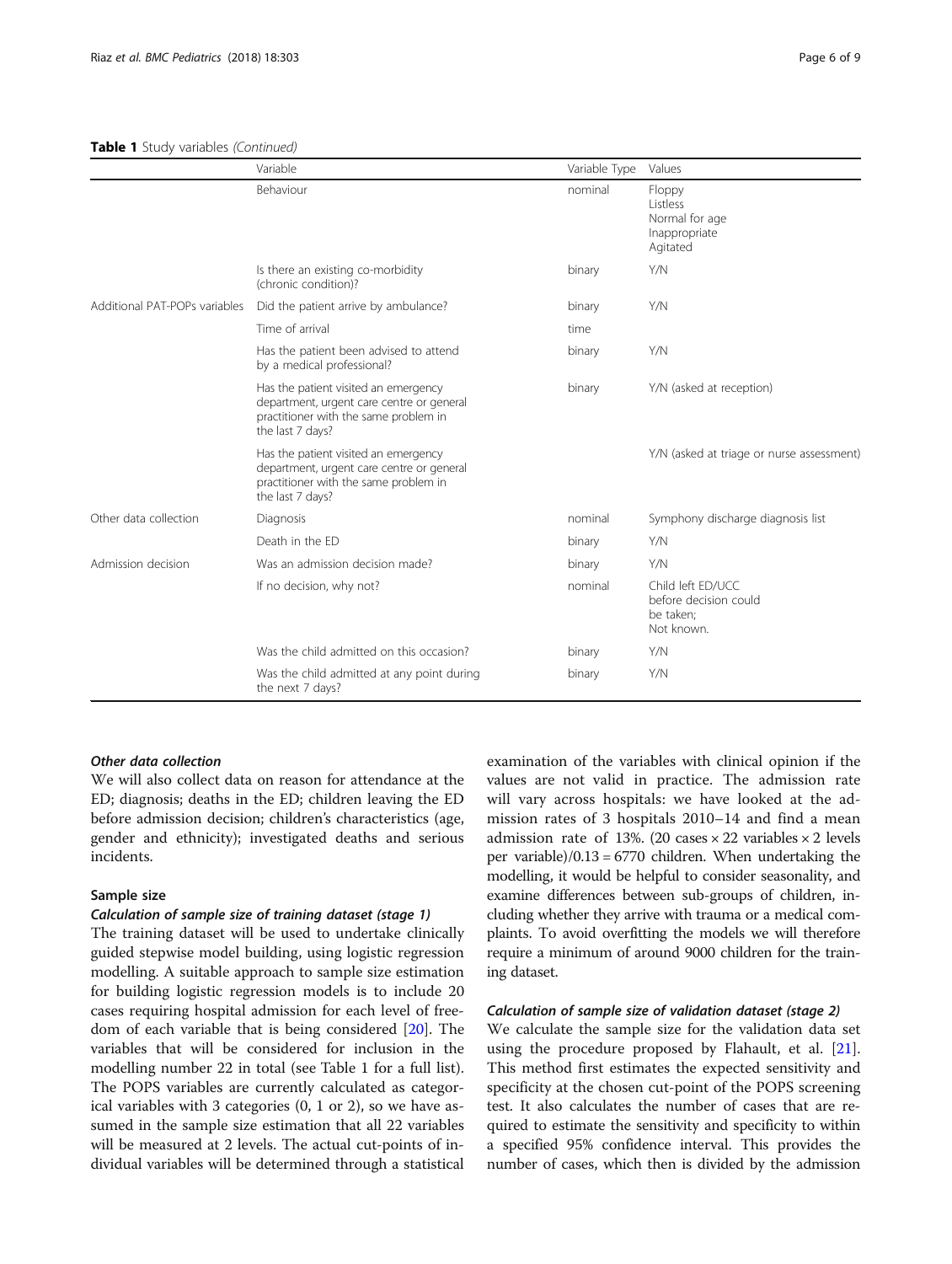#### Table 1 Study variables (Continued)

|                               | Variable                                                                                                                                       | Variable Type | Values                                                                   |
|-------------------------------|------------------------------------------------------------------------------------------------------------------------------------------------|---------------|--------------------------------------------------------------------------|
|                               | Behaviour                                                                                                                                      | nominal       | Floppy<br><b>Listless</b><br>Normal for age<br>Inappropriate<br>Agitated |
|                               | Is there an existing co-morbidity<br>(chronic condition)?                                                                                      | binary        | Y/N                                                                      |
| Additional PAT-POPs variables | Did the patient arrive by ambulance?                                                                                                           | binary        | Y/N                                                                      |
|                               | Time of arrival                                                                                                                                | time          |                                                                          |
|                               | Has the patient been advised to attend<br>by a medical professional?                                                                           | binary        | Y/N                                                                      |
|                               | Has the patient visited an emergency<br>department, urgent care centre or general<br>practitioner with the same problem in<br>the last 7 days? | binary        | Y/N (asked at reception)                                                 |
|                               | Has the patient visited an emergency<br>department, urgent care centre or general<br>practitioner with the same problem in<br>the last 7 days? |               | Y/N (asked at triage or nurse assessment)                                |
| Other data collection         | Diagnosis                                                                                                                                      | nominal       | Symphony discharge diagnosis list                                        |
|                               | Death in the ED                                                                                                                                | binary        | Y/N                                                                      |
| Admission decision            | Was an admission decision made?                                                                                                                | binary        | Y/N                                                                      |
|                               | If no decision, why not?                                                                                                                       | nominal       | Child left ED/UCC<br>before decision could<br>be taken;<br>Not known.    |
|                               | Was the child admitted on this occasion?                                                                                                       | binary        | Y/N                                                                      |
|                               | Was the child admitted at any point during<br>the next 7 days?                                                                                 | binary        | Y/N                                                                      |

# Other data collection

We will also collect data on reason for attendance at the ED; diagnosis; deaths in the ED; children leaving the ED before admission decision; children's characteristics (age, gender and ethnicity); investigated deaths and serious incidents.

# Sample size

# Calculation of sample size of training dataset (stage 1)

The training dataset will be used to undertake clinically guided stepwise model building, using logistic regression modelling. A suitable approach to sample size estimation for building logistic regression models is to include 20 cases requiring hospital admission for each level of freedom of each variable that is being considered [\[20](#page-8-0)]. The variables that will be considered for inclusion in the modelling number 22 in total (see Table 1 for a full list). The POPS variables are currently calculated as categorical variables with 3 categories (0, 1 or 2), so we have assumed in the sample size estimation that all 22 variables will be measured at 2 levels. The actual cut-points of individual variables will be determined through a statistical examination of the variables with clinical opinion if the values are not valid in practice. The admission rate will vary across hospitals: we have looked at the admission rates of 3 hospitals 2010–14 and find a mean admission rate of 13%. (20 cases  $\times$  22 variables  $\times$  2 levels per variable)/0.13 = 6770 children. When undertaking the modelling, it would be helpful to consider seasonality, and examine differences between sub-groups of children, including whether they arrive with trauma or a medical complaints. To avoid overfitting the models we will therefore require a minimum of around 9000 children for the training dataset.

# Calculation of sample size of validation dataset (stage 2)

We calculate the sample size for the validation data set using the procedure proposed by Flahault, et al. [\[21](#page-8-0)]. This method first estimates the expected sensitivity and specificity at the chosen cut-point of the POPS screening test. It also calculates the number of cases that are required to estimate the sensitivity and specificity to within a specified 95% confidence interval. This provides the number of cases, which then is divided by the admission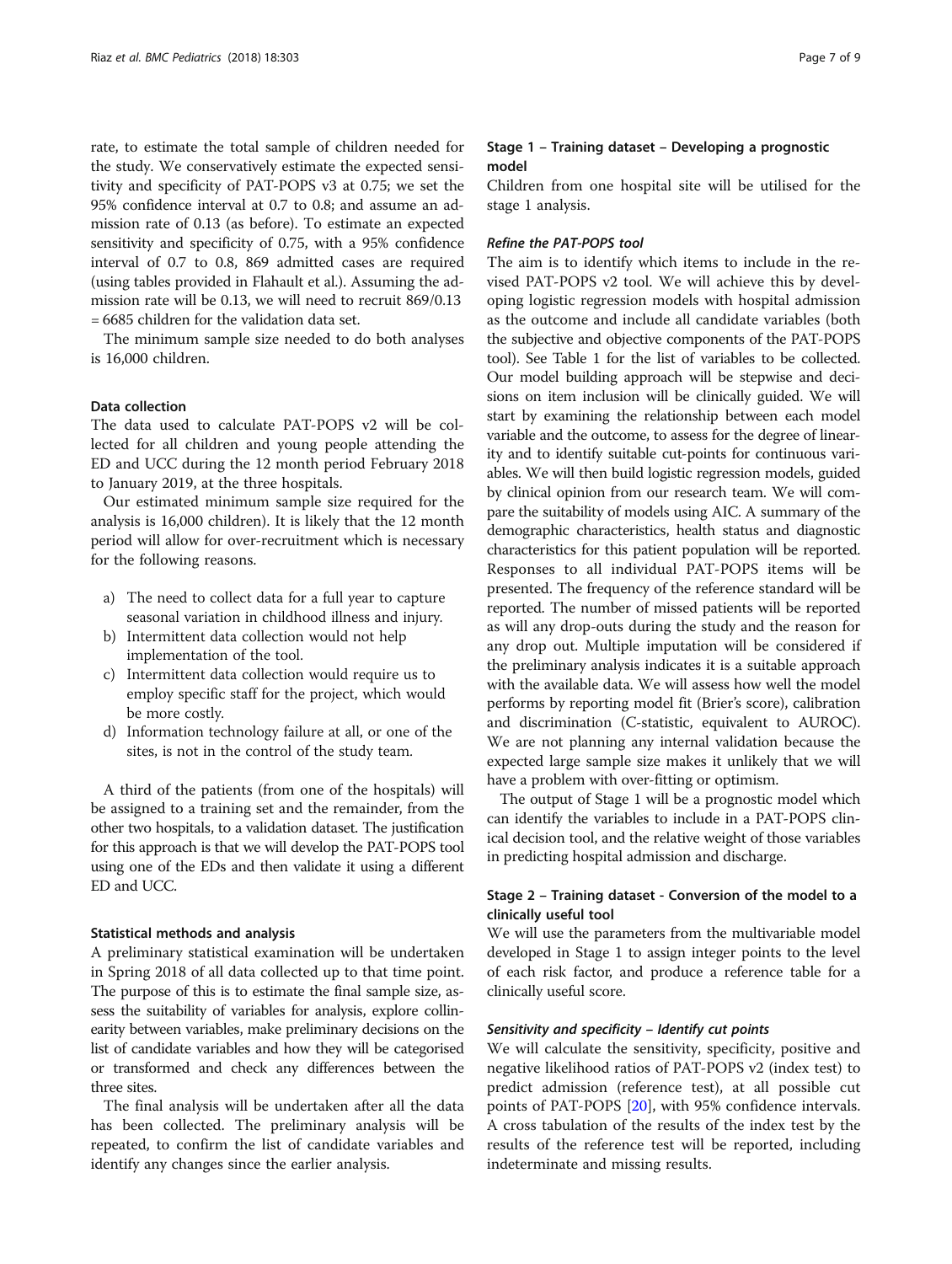rate, to estimate the total sample of children needed for the study. We conservatively estimate the expected sensitivity and specificity of PAT-POPS v3 at 0.75; we set the 95% confidence interval at 0.7 to 0.8; and assume an admission rate of 0.13 (as before). To estimate an expected sensitivity and specificity of 0.75, with a 95% confidence interval of 0.7 to 0.8, 869 admitted cases are required (using tables provided in Flahault et al.). Assuming the admission rate will be 0.13, we will need to recruit 869/0.13 = 6685 children for the validation data set.

The minimum sample size needed to do both analyses is 16,000 children.

## Data collection

The data used to calculate PAT-POPS v2 will be collected for all children and young people attending the ED and UCC during the 12 month period February 2018 to January 2019, at the three hospitals.

Our estimated minimum sample size required for the analysis is 16,000 children). It is likely that the 12 month period will allow for over-recruitment which is necessary for the following reasons.

- a) The need to collect data for a full year to capture seasonal variation in childhood illness and injury.
- b) Intermittent data collection would not help implementation of the tool.
- c) Intermittent data collection would require us to employ specific staff for the project, which would be more costly.
- d) Information technology failure at all, or one of the sites, is not in the control of the study team.

A third of the patients (from one of the hospitals) will be assigned to a training set and the remainder, from the other two hospitals, to a validation dataset. The justification for this approach is that we will develop the PAT-POPS tool using one of the EDs and then validate it using a different ED and UCC.

#### Statistical methods and analysis

A preliminary statistical examination will be undertaken in Spring 2018 of all data collected up to that time point. The purpose of this is to estimate the final sample size, assess the suitability of variables for analysis, explore collinearity between variables, make preliminary decisions on the list of candidate variables and how they will be categorised or transformed and check any differences between the three sites.

The final analysis will be undertaken after all the data has been collected. The preliminary analysis will be repeated, to confirm the list of candidate variables and identify any changes since the earlier analysis.

# Stage 1 – Training dataset – Developing a prognostic model

Children from one hospital site will be utilised for the stage 1 analysis.

## Refine the PAT-POPS tool

The aim is to identify which items to include in the revised PAT-POPS v2 tool. We will achieve this by developing logistic regression models with hospital admission as the outcome and include all candidate variables (both the subjective and objective components of the PAT-POPS tool). See Table 1 for the list of variables to be collected. Our model building approach will be stepwise and decisions on item inclusion will be clinically guided. We will start by examining the relationship between each model variable and the outcome, to assess for the degree of linearity and to identify suitable cut-points for continuous variables. We will then build logistic regression models, guided by clinical opinion from our research team. We will compare the suitability of models using AIC. A summary of the demographic characteristics, health status and diagnostic characteristics for this patient population will be reported. Responses to all individual PAT-POPS items will be presented. The frequency of the reference standard will be reported. The number of missed patients will be reported as will any drop-outs during the study and the reason for any drop out. Multiple imputation will be considered if the preliminary analysis indicates it is a suitable approach with the available data. We will assess how well the model performs by reporting model fit (Brier's score), calibration and discrimination (C-statistic, equivalent to AUROC). We are not planning any internal validation because the expected large sample size makes it unlikely that we will have a problem with over-fitting or optimism.

The output of Stage 1 will be a prognostic model which can identify the variables to include in a PAT-POPS clinical decision tool, and the relative weight of those variables in predicting hospital admission and discharge.

# Stage 2 – Training dataset - Conversion of the model to a clinically useful tool

We will use the parameters from the multivariable model developed in Stage 1 to assign integer points to the level of each risk factor, and produce a reference table for a clinically useful score.

#### Sensitivity and specificity – Identify cut points

We will calculate the sensitivity, specificity, positive and negative likelihood ratios of PAT-POPS v2 (index test) to predict admission (reference test), at all possible cut points of PAT-POPS [\[20](#page-8-0)], with 95% confidence intervals. A cross tabulation of the results of the index test by the results of the reference test will be reported, including indeterminate and missing results.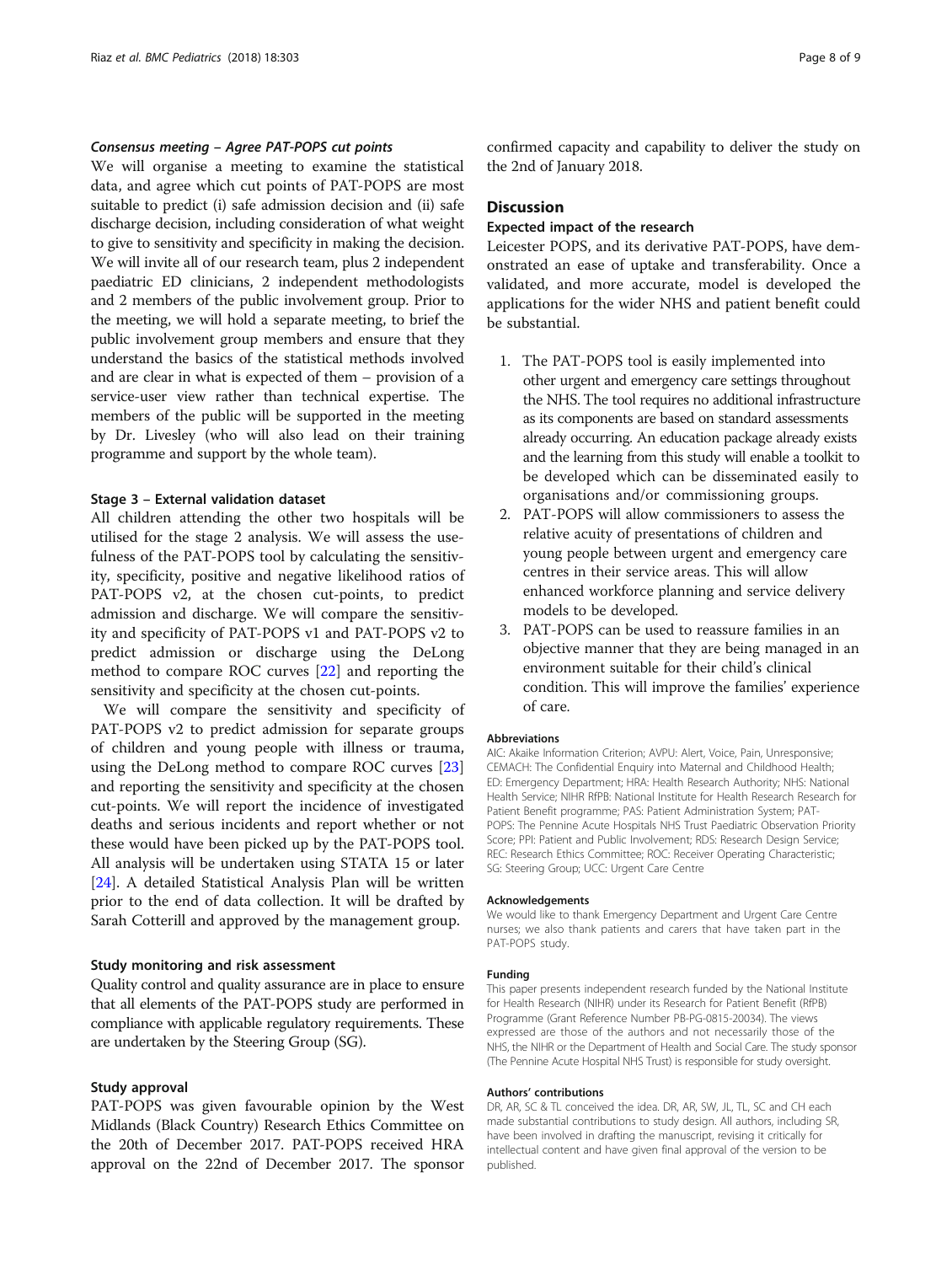## Consensus meeting – Agree PAT-POPS cut points

We will organise a meeting to examine the statistical data, and agree which cut points of PAT-POPS are most suitable to predict (i) safe admission decision and (ii) safe discharge decision, including consideration of what weight to give to sensitivity and specificity in making the decision. We will invite all of our research team, plus 2 independent paediatric ED clinicians, 2 independent methodologists and 2 members of the public involvement group. Prior to the meeting, we will hold a separate meeting, to brief the public involvement group members and ensure that they understand the basics of the statistical methods involved and are clear in what is expected of them – provision of a service-user view rather than technical expertise. The members of the public will be supported in the meeting by Dr. Livesley (who will also lead on their training programme and support by the whole team).

#### Stage 3 – External validation dataset

All children attending the other two hospitals will be utilised for the stage 2 analysis. We will assess the usefulness of the PAT-POPS tool by calculating the sensitivity, specificity, positive and negative likelihood ratios of PAT-POPS v2, at the chosen cut-points, to predict admission and discharge. We will compare the sensitivity and specificity of PAT-POPS v1 and PAT-POPS v2 to predict admission or discharge using the DeLong method to compare ROC curves [\[22](#page-8-0)] and reporting the sensitivity and specificity at the chosen cut-points.

We will compare the sensitivity and specificity of PAT-POPS v2 to predict admission for separate groups of children and young people with illness or trauma, using the DeLong method to compare ROC curves [[23](#page-8-0)] and reporting the sensitivity and specificity at the chosen cut-points. We will report the incidence of investigated deaths and serious incidents and report whether or not these would have been picked up by the PAT-POPS tool. All analysis will be undertaken using STATA 15 or later [[24\]](#page-8-0). A detailed Statistical Analysis Plan will be written prior to the end of data collection. It will be drafted by Sarah Cotterill and approved by the management group.

# Study monitoring and risk assessment

Quality control and quality assurance are in place to ensure that all elements of the PAT-POPS study are performed in compliance with applicable regulatory requirements. These are undertaken by the Steering Group (SG).

#### Study approval

PAT-POPS was given favourable opinion by the West Midlands (Black Country) Research Ethics Committee on the 20th of December 2017. PAT-POPS received HRA approval on the 22nd of December 2017. The sponsor confirmed capacity and capability to deliver the study on the 2nd of January 2018.

## **Discussion**

#### Expected impact of the research

Leicester POPS, and its derivative PAT-POPS, have demonstrated an ease of uptake and transferability. Once a validated, and more accurate, model is developed the applications for the wider NHS and patient benefit could be substantial.

- 1. The PAT-POPS tool is easily implemented into other urgent and emergency care settings throughout the NHS. The tool requires no additional infrastructure as its components are based on standard assessments already occurring. An education package already exists and the learning from this study will enable a toolkit to be developed which can be disseminated easily to organisations and/or commissioning groups.
- 2. PAT-POPS will allow commissioners to assess the relative acuity of presentations of children and young people between urgent and emergency care centres in their service areas. This will allow enhanced workforce planning and service delivery models to be developed.
- 3. PAT-POPS can be used to reassure families in an objective manner that they are being managed in an environment suitable for their child's clinical condition. This will improve the families' experience of care.

#### **Abbreviations**

AIC: Akaike Information Criterion; AVPU: Alert, Voice, Pain, Unresponsive; CEMACH: The Confidential Enquiry into Maternal and Childhood Health; ED: Emergency Department; HRA: Health Research Authority; NHS: National Health Service; NIHR RfPB: National Institute for Health Research Research for Patient Benefit programme; PAS: Patient Administration System; PAT-POPS: The Pennine Acute Hospitals NHS Trust Paediatric Observation Priority Score: PPI: Patient and Public Involvement: RDS: Research Design Service; REC: Research Ethics Committee; ROC: Receiver Operating Characteristic; SG: Steering Group; UCC: Urgent Care Centre

#### Acknowledgements

We would like to thank Emergency Department and Urgent Care Centre nurses; we also thank patients and carers that have taken part in the PAT-POPS study.

#### Funding

This paper presents independent research funded by the National Institute for Health Research (NIHR) under its Research for Patient Benefit (RfPB) Programme (Grant Reference Number PB-PG-0815-20034). The views expressed are those of the authors and not necessarily those of the NHS, the NIHR or the Department of Health and Social Care. The study sponsor (The Pennine Acute Hospital NHS Trust) is responsible for study oversight.

#### Authors' contributions

DR, AR, SC & TL conceived the idea. DR, AR, SW, JL, TL, SC and CH each made substantial contributions to study design. All authors, including SR, have been involved in drafting the manuscript, revising it critically for intellectual content and have given final approval of the version to be published.